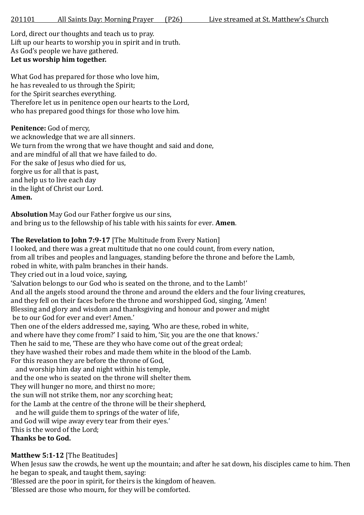Lord, direct our thoughts and teach us to pray. Lift up our hearts to worship you in spirit and in truth. As God's people we have gathered. **Let us worship him together.**

What God has prepared for those who love him, he has revealed to us through the Spirit; for the Spirit searches everything. Therefore let us in penitence open our hearts to the Lord, who has prepared good things for those who love him.

## Penitence: God of mercy,

we acknowledge that we are all sinners. We turn from the wrong that we have thought and said and done, and are mindful of all that we have failed to do. For the sake of Jesus who died for us, forgive us for all that is past, and help us to live each day in the light of Christ our Lord. **Amen.**

**Absolution** May God our Father forgive us our sins, and bring us to the fellowship of his table with his saints for ever. **Amen**.

# **The Revelation to John 7:9-17** [The Multitude from Every Nation]

I looked, and there was a great multitude that no one could count, from every nation, from all tribes and peoples and languages, standing before the throne and before the Lamb, robed in white, with palm branches in their hands.

They cried out in a loud voice, saying,

'Salvation belongs to our God who is seated on the throne, and to the Lamb!'

And all the angels stood around the throne and around the elders and the four living creatures,

and they fell on their faces before the throne and worshipped God, singing, 'Amen! Blessing and glory and wisdom and thanksgiving and honour and power and might

be to our God for ever and ever! Amen.'

Then one of the elders addressed me, saying, 'Who are these, robed in white, and where have they come from?' I said to him, 'Sir, you are the one that knows.' Then he said to me, 'These are they who have come out of the great ordeal; they have washed their robes and made them white in the blood of the Lamb. For this reason they are before the throne of God,

 and worship him day and night within his temple, and the one who is seated on the throne will shelter them. They will hunger no more, and thirst no more; the sun will not strike them, nor any scorching heat; for the Lamb at the centre of the throne will be their shepherd,

 and he will guide them to springs of the water of life, and God will wipe away every tear from their eyes.' This is the word of the Lord; **Thanks be to God.**

# **Matthew 5:1-12** [The Beatitudes]

When Jesus saw the crowds, he went up the mountain; and after he sat down, his disciples came to him. Then he began to speak, and taught them, saying:

'Blessed are the poor in spirit, for theirs is the kingdom of heaven.

'Blessed are those who mourn, for they will be comforted.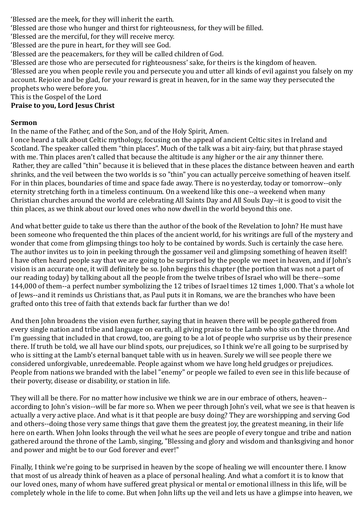'Blessed are the meek, for they will inherit the earth.

'Blessed are those who hunger and thirst for righteousness, for they will be filled.

'Blessed are the merciful, for they will receive mercy.

'Blessed are the pure in heart, for they will see God.

'Blessed are the peacemakers, for they will be called children of God.

'Blessed are those who are persecuted for righteousness' sake, for theirs is the kingdom of heaven.

'Blessed are you when people revile you and persecute you and utter all kinds of evil against you falsely on my account. Rejoice and be glad, for your reward is great in heaven, for in the same way they persecuted the prophets who were before you.

This is the Gospel of the Lord

#### **Praise to you, Lord Jesus Christ**

#### **Sermon**

In the name of the Father, and of the Son, and of the Holy Spirit, Amen.

I once heard a talk about Celtic mythology, focusing on the appeal of ancient Celtic sites in Ireland and Scotland. The speaker called them "thin places". Much of the talk was a bit airy-fairy, but that phrase stayed with me. Thin places aren't called that because the altitude is any higher or the air any thinner there. Rather, they are called "thin" because it is believed that in these places the distance between heaven and earth shrinks, and the veil between the two worlds is so "thin" you can actually perceive something of heaven itself. For in thin places, boundaries of time and space fade away. There is no yesterday, today or tomorrow--only eternity stretching forth in a timeless continuum. On a weekend like this one--a weekend when many Christian churches around the world are celebrating All Saints Day and All Souls Day--it is good to visit the thin places, as we think about our loved ones who now dwell in the world beyond this one.

And what better guide to take us there than the author of the book of the Revelation to John? He must have been someone who frequented the thin places of the ancient world, for his writings are full of the mystery and wonder that come from glimpsing things too holy to be contained by words. Such is certainly the case here. The author invites us to join in peeking through the gossamer veil and glimpsing something of heaven itself! I have often heard people say that we are going to be surprised by the people we meet in heaven, and if John's vision is an accurate one, it will definitely be so. John begins this chapter (the portion that was not a part of our reading today) by talking about all the people from the twelve tribes of Israel who will be there--some 144,000 of them--a perfect number symbolizing the 12 tribes of Israel times 12 times 1,000. That's a whole lot of Jews--and it reminds us Christians that, as Paul puts it in Romans, we are the branches who have been grafted onto this tree of faith that extends back far further than we do!

And then John broadens the vision even further, saying that in heaven there will be people gathered from every single nation and tribe and language on earth, all giving praise to the Lamb who sits on the throne. And I'm guessing that included in that crowd, too, are going to be a lot of people who surprise us by their presence there. If truth be told, we all have our blind spots, our prejudices, so I think we're all going to be surprised by who is sitting at the Lamb's eternal banquet table with us in heaven. Surely we will see people there we considered unforgivable, unredeemable. People against whom we have long held grudges or prejudices. People from nations we branded with the label "enemy" or people we failed to even see in this life because of their poverty, disease or disability, or station in life.

They will all be there. For no matter how inclusive we think we are in our embrace of others, heaven- according to John's vision--will be far more so. When we peer through John's veil, what we see is that heaven is actually a very active place. And what is it that people are busy doing? They are worshipping and serving God and others--doing those very same things that gave them the greatest joy, the greatest meaning, in their life here on earth. When John looks through the veil what he sees are people of every tongue and tribe and nation gathered around the throne of the Lamb, singing, "Blessing and glory and wisdom and thanksgiving and honor and power and might be to our God forever and ever!"

Finally, I think we're going to be surprised in heaven by the scope of healing we will encounter there. I know that most of us already think of heaven as a place of personal healing. And what a comfort it is to know that our loved ones, many of whom have suffered great physical or mental or emotional illness in this life, will be completely whole in the life to come. But when John lifts up the veil and lets us have a glimpse into heaven, we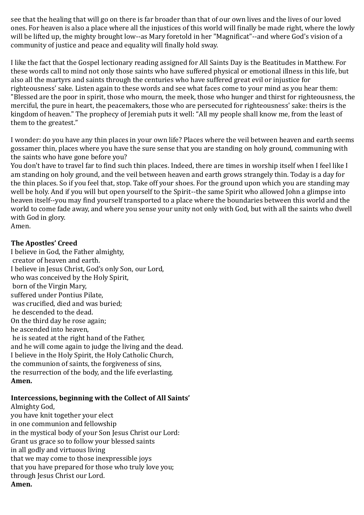see that the healing that will go on there is far broader than that of our own lives and the lives of our loved ones. For heaven is also a place where all the injustices of this world will finally be made right, where the lowly will be lifted up, the mighty brought low--as Mary foretold in her "Magnificat"--and where God's vision of a community of justice and peace and equality will finally hold sway.

I like the fact that the Gospel lectionary reading assigned for All Saints Day is the Beatitudes in Matthew. For these words call to mind not only those saints who have suffered physical or emotional illness in this life, but also all the martyrs and saints through the centuries who have suffered great evil or injustice for righteousness' sake. Listen again to these words and see what faces come to your mind as you hear them: "Blessed are the poor in spirit, those who mourn, the meek, those who hunger and thirst for righteousness, the merciful, the pure in heart, the peacemakers, those who are persecuted for righteousness' sake: theirs is the kingdom of heaven." The prophecy of Jeremiah puts it well: "All my people shall know me, from the least of them to the greatest."

I wonder: do you have any thin places in your own life? Places where the veil between heaven and earth seems gossamer thin, places where you have the sure sense that you are standing on holy ground, communing with the saints who have gone before you?

You don't have to travel far to find such thin places. Indeed, there are times in worship itself when I feel like I am standing on holy ground, and the veil between heaven and earth grows strangely thin. Today is a day for the thin places. So if you feel that, stop. Take off your shoes. For the ground upon which you are standing may well be holy. And if you will but open yourself to the Spirit--the same Spirit who allowed John a glimpse into heaven itself--you may find yourself transported to a place where the boundaries between this world and the world to come fade away, and where you sense your unity not only with God, but with all the saints who dwell with God in glory.

Amen.

#### **The Apostles' Creed**

I believe in God, the Father almighty, creator of heaven and earth. I believe in Jesus Christ, God's only Son, our Lord, who was conceived by the Holy Spirit, born of the Virgin Mary, suffered under Pontius Pilate, was crucified, died and was buried; he descended to the dead. On the third day he rose again; he ascended into heaven, he is seated at the right hand of the Father, and he will come again to judge the living and the dead. I believe in the Holy Spirit, the Holy Catholic Church, the communion of saints, the forgiveness of sins, the resurrection of the body, and the life everlasting. **Amen.** 

### **Intercessions, beginning with the Collect of All Saints'**

Almighty God, you have knit together your elect in one communion and fellowship in the mystical body of your Son Jesus Christ our Lord: Grant us grace so to follow your blessed saints in all godly and virtuous living that we may come to those inexpressible joys that you have prepared for those who truly love you; through Jesus Christ our Lord. **Amen.**